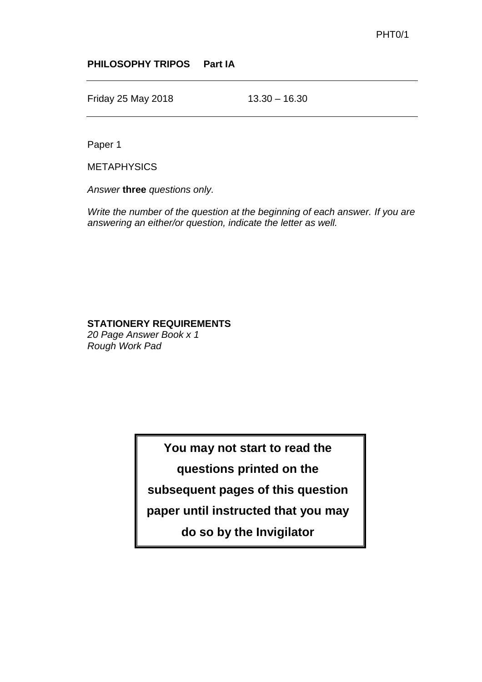## **PHILOSOPHY TRIPOS Part IA**

Friday 25 May 2018 13.30 – 16.30

Paper 1

**METAPHYSICS** 

*Answer* **three** *questions only.*

*Write the number of the question at the beginning of each answer. If you are answering an either/or question, indicate the letter as well.*

## **STATIONERY REQUIREMENTS**

*20 Page Answer Book x 1 Rough Work Pad*

**You may not start to read the** 

**questions printed on the** 

**subsequent pages of this question** 

**paper until instructed that you may** 

**do so by the Invigilator**